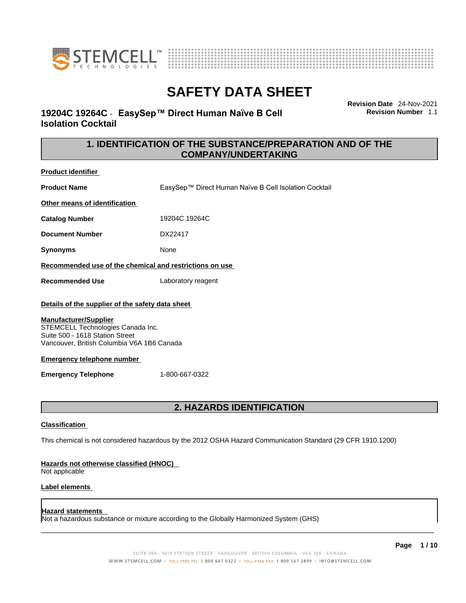



**Revision Date** 24-Nov-2021

**Revision Number** 1.1

# **SAFETY DATA SHEET**

**19204C 19264C** - **EasySep™ Direct Human Naïve B Cell Isolation Cocktail** 

> **1. IDENTIFICATION OF THE SUBSTANCE/PREPARATION AND OF THE COMPANY/UNDERTAKING**

**Product identifier**

**Product Name** EasySep™ Direct Human Naïve B Cell Isolation Cocktail **Other means of identification**

**Catalog Number** 19204C 19264C

**Document Number** DX22417

**Synonyms** None

**Recommended use of the chemical and restrictions on use**

**Recommended Use** Laboratory reagent

#### **Details of the supplier of the safety data sheet**

#### **Manufacturer/Supplier**

STEMCELL Technologies Canada Inc. Suite 500 - 1618 Station Street Vancouver, British Columbia V6A 1B6 Canada

#### **Emergency telephone number**

**Emergency Telephone** 1-800-667-0322

### **2. HAZARDS IDENTIFICATION**

#### **Classification**

This chemical is not considered hazardous by the 2012 OSHA Hazard Communication Standard (29 CFR 1910.1200)

#### **Hazards not otherwise classified (HNOC)**

Not applicable

#### **Label elements**

#### **Hazard statements**

Not a hazardous substance or mixture according to the Globally Harmonized System (GHS)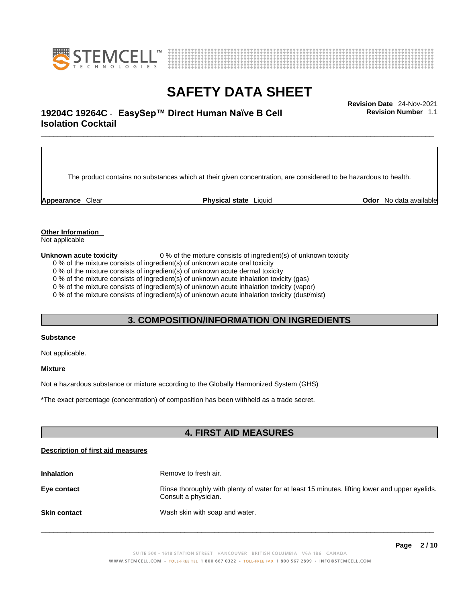



### \_\_\_\_\_\_\_\_\_\_\_\_\_\_\_\_\_\_\_\_\_\_\_\_\_\_\_\_\_\_\_\_\_\_\_\_\_\_\_\_\_\_\_\_\_\_\_\_\_\_\_\_\_\_\_\_\_\_\_\_\_\_\_\_\_\_\_\_\_\_\_\_\_\_\_\_\_\_\_\_\_\_\_\_\_\_\_\_\_\_\_\_\_ **Revision Date** 24-Nov-2021 **19204C 19264C** - **EasySep™ Direct Human Naïve B Cell Isolation Cocktail**

The product contains no substances which at their given concentration, are considered to be hazardous to health.

**Appearance** Clear **Physical state** Liquid **Odor** No data available

**Revision Number** 1.1

**Other Information** 

Not applicable

**Unknown acute toxicity** 0 % of the mixture consists of ingredient(s) of unknown toxicity

0 % of the mixture consists of ingredient(s) of unknown acute oral toxicity

0 % of the mixture consists of ingredient(s) of unknown acute dermal toxicity

0 % of the mixture consists of ingredient(s) of unknown acute inhalation toxicity (gas)

0 % of the mixture consists of ingredient(s) of unknown acute inhalation toxicity (vapor)

0 % of the mixture consists of ingredient(s) of unknown acute inhalation toxicity (dust/mist)

### **3. COMPOSITION/INFORMATION ON INGREDIENTS**

#### **Substance**

Not applicable.

#### **Mixture**

Not a hazardous substance or mixture according to the Globally Harmonized System (GHS)

\*The exact percentage (concentration) ofcomposition has been withheld as a trade secret.

### **4. FIRST AID MEASURES**

#### **Description of first aid measures**

| <b>Inhalation</b>   | Remove to fresh air.                                                                                                    |
|---------------------|-------------------------------------------------------------------------------------------------------------------------|
| Eye contact         | Rinse thoroughly with plenty of water for at least 15 minutes, lifting lower and upper eyelids.<br>Consult a physician. |
| <b>Skin contact</b> | Wash skin with soap and water.                                                                                          |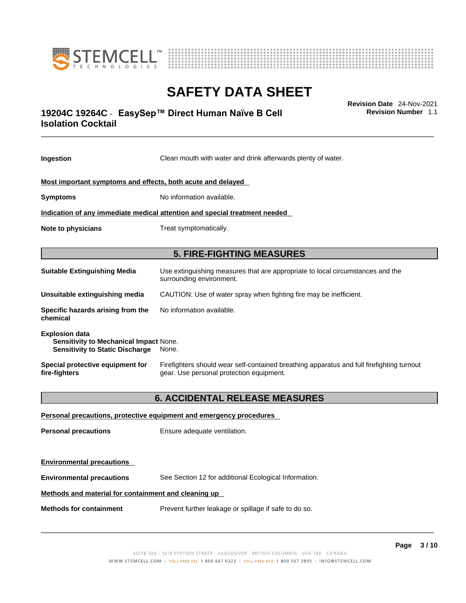



### \_\_\_\_\_\_\_\_\_\_\_\_\_\_\_\_\_\_\_\_\_\_\_\_\_\_\_\_\_\_\_\_\_\_\_\_\_\_\_\_\_\_\_\_\_\_\_\_\_\_\_\_\_\_\_\_\_\_\_\_\_\_\_\_\_\_\_\_\_\_\_\_\_\_\_\_\_\_\_\_\_\_\_\_\_\_\_\_\_\_\_\_\_ **Revision Date** 24-Nov-2021 **19204C 19264C** - **EasySep™ Direct Human Naïve B Cell Isolation Cocktail**

**Ingestion** Clean mouth with water and drink afterwards plenty of water. **Most important symptoms and effects, both acute and delayed Symptoms** No information available. **Indication of any immediate medical attention and special treatment needed Note to physicians** Treat symptomatically. **5. FIRE-FIGHTING MEASURES Suitable Extinguishing Media** Use extinguishing measures that are appropriate to local circumstances and the surrounding environment. **Unsuitable extinguishing media** CAUTION: Use of water spray when fighting fire may be inefficient. **Specific hazards arising from the chemical** No information available. **Explosion data Sensitivity to Mechanical Impact** None. **Sensitivity to Static Discharge** None. **Special protective equipment for fire-fighters** Firefighters should wear self-contained breathing apparatus and full firefighting turnout gear. Use personal protection equipment. **6. ACCIDENTAL RELEASE MEASURES Personal precautions, protective equipment and emergency procedures Personal precautions** Ensure adequate ventilation. **Environmental precautions** 

**Environmental precautions** See Section 12 for additional Ecological Information.

#### **Methods and material for containment and cleaning up**

**Methods for containment** Prevent further leakage or spillage if safe to do so.

 $\_$  ,  $\_$  ,  $\_$  ,  $\_$  ,  $\_$  ,  $\_$  ,  $\_$  ,  $\_$  ,  $\_$  ,  $\_$  ,  $\_$  ,  $\_$  ,  $\_$  ,  $\_$  ,  $\_$  ,  $\_$  ,  $\_$  ,  $\_$  ,  $\_$  ,  $\_$  ,  $\_$  ,  $\_$  ,  $\_$  ,  $\_$  ,  $\_$  ,  $\_$  ,  $\_$  ,  $\_$  ,  $\_$  ,  $\_$  ,  $\_$  ,  $\_$  ,  $\_$  ,  $\_$  ,  $\_$  ,  $\_$  ,  $\_$  ,

**Revision Number** 1.1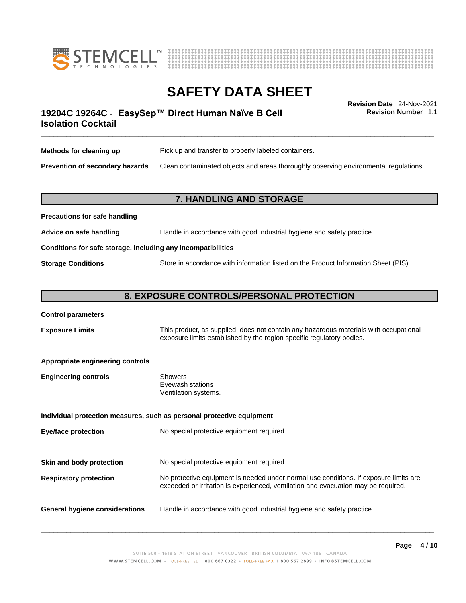



**Revision Number** 1.1

### \_\_\_\_\_\_\_\_\_\_\_\_\_\_\_\_\_\_\_\_\_\_\_\_\_\_\_\_\_\_\_\_\_\_\_\_\_\_\_\_\_\_\_\_\_\_\_\_\_\_\_\_\_\_\_\_\_\_\_\_\_\_\_\_\_\_\_\_\_\_\_\_\_\_\_\_\_\_\_\_\_\_\_\_\_\_\_\_\_\_\_\_\_ **Revision Date** 24-Nov-2021 **19204C 19264C** - **EasySep™ Direct Human Naïve B Cell Isolation Cocktail**

| Methods for cleaning up         | Pick up and transfer to properly labeled containers.                                 |
|---------------------------------|--------------------------------------------------------------------------------------|
| Prevention of secondary hazards | Clean contaminated objects and areas thoroughly observing environmental regulations. |

#### **7. HANDLING AND STORAGE**

| Advice on safe handling                                      | Handle in accordance with good industrial hygiene and safety practice.              |  |
|--------------------------------------------------------------|-------------------------------------------------------------------------------------|--|
| Conditions for safe storage, including any incompatibilities |                                                                                     |  |
| <b>Storage Conditions</b>                                    | Store in accordance with information listed on the Product Information Sheet (PIS). |  |

#### **8. EXPOSURE CONTROLS/PERSONAL PROTECTION**

#### **Control parameters**

**Precautions for safe handling**

**Exposure Limits** This product, as supplied, does not contain any hazardous materials with occupational exposure limits established by the region specific regulatory bodies.

#### **Appropriate engineering controls**

| <b>Engineering controls</b> | Showers              |
|-----------------------------|----------------------|
|                             | Eyewash stations     |
|                             | Ventilation systems. |
|                             |                      |

**Individual protection measures, such as personal protective equipment Eye/face protection** No special protective equipment required. **Skin and body protection** No special protective equipment required. **Respiratory protection** No protective equipment is needed under normal use conditions. If exposure limits are exceeded or irritation is experienced, ventilation and evacuation may be required. **General hygiene considerations** Handle in accordance with good industrial hygiene and safety practice.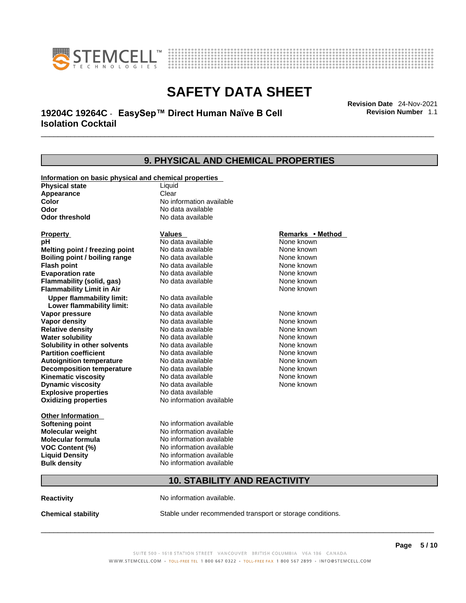



### \_\_\_\_\_\_\_\_\_\_\_\_\_\_\_\_\_\_\_\_\_\_\_\_\_\_\_\_\_\_\_\_\_\_\_\_\_\_\_\_\_\_\_\_\_\_\_\_\_\_\_\_\_\_\_\_\_\_\_\_\_\_\_\_\_\_\_\_\_\_\_\_\_\_\_\_\_\_\_\_\_\_\_\_\_\_\_\_\_\_\_\_\_ **Revision Date** 24-Nov-2021 **19204C 19264C** - **EasySep™ Direct Human Naïve B Cell Isolation Cocktail**

**9. PHYSICAL AND CHEMICAL PROPERTIES Information on basic physical and chemical properties Physical state** Liquid **Appearance** Clear<br> **Color** No int **Color Color Color Color Color Color Color No** data available **Odor Odor Constanting Codor Constanting Codor Codor Codor Codor Codor Codor Codor Codor Codor Codor Codor Codor Codor Codor Codor Codor Codor Codor Codor Codor Codor Codor Codor No data available Explosive properties** No data available **Oxidizing properties** No information available **Other Information Softening point** No information available **Molecular weight** No information available **Molecular formula** No information available<br>**VOC Content (%)** No information available **VOC Content (%) Liquid Density** No information available **Bulk density No information available 10. STABILITY AND REACTIVITY Property CONSCRUTE IN THE VALUES REMARKS • Method pH** No data available None known **Melting point / freezing point Boiling point / boiling range No data available None known Flash point Communist Communist Communist Communist Communist Communist Communist Communist Communist Communist Communist Communist Communist Communist Communist Communist Communist Communist Communist Communist Communi Evaporation rate Reserve ACC** No data available **None known** None known **Flammability (solid, gas)** No data available None known **Flammability Limit in Air None known None known Upper flammability limit:** No data available **Lower flammability limit:** No data available **Vapor pressure No data available None known Vapor density No data available None known Relative density No data available None known** None known **Water solubility No data available** Mome known<br> **Solubility in other solvents** No data available **None known**<br>
None known **Solubility in other solvents** No data available **None known**<br> **Partition coefficient** No data available None known **Partition coefficient**<br> **Autoignition temperature**<br>
No data available **Autoignition temperature** No data available **None known**<br> **Decomposition temperature** No data available None known **Decomposition temperature** No data available None known<br> **Kinematic viscosity** No data available None known **Kinematic viscosity** No data available<br> **Dynamic viscosity** No data available **Dynamic viscosity** None known

**Reactivity No information available.** 

**Chemical stability** Stable under recommended transport or storage conditions.

 $\_$  ,  $\_$  ,  $\_$  ,  $\_$  ,  $\_$  ,  $\_$  ,  $\_$  ,  $\_$  ,  $\_$  ,  $\_$  ,  $\_$  ,  $\_$  ,  $\_$  ,  $\_$  ,  $\_$  ,  $\_$  ,  $\_$  ,  $\_$  ,  $\_$  ,  $\_$  ,  $\_$  ,  $\_$  ,  $\_$  ,  $\_$  ,  $\_$  ,  $\_$  ,  $\_$  ,  $\_$  ,  $\_$  ,  $\_$  ,  $\_$  ,  $\_$  ,  $\_$  ,  $\_$  ,  $\_$  ,  $\_$  ,  $\_$  ,

**Revision Number** 1.1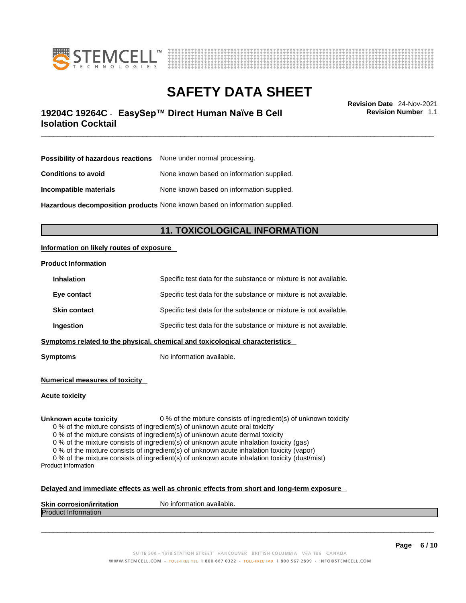



### \_\_\_\_\_\_\_\_\_\_\_\_\_\_\_\_\_\_\_\_\_\_\_\_\_\_\_\_\_\_\_\_\_\_\_\_\_\_\_\_\_\_\_\_\_\_\_\_\_\_\_\_\_\_\_\_\_\_\_\_\_\_\_\_\_\_\_\_\_\_\_\_\_\_\_\_\_\_\_\_\_\_\_\_\_\_\_\_\_\_\_\_\_ **Revision Date** 24-Nov-2021 **19204C 19264C** - **EasySep™ Direct Human Naïve B Cell Isolation Cocktail**

**Revision Number** 1.1

| <b>Possibility of hazardous reactions</b> None under normal processing.    |                                           |
|----------------------------------------------------------------------------|-------------------------------------------|
| <b>Conditions to avoid</b>                                                 | None known based on information supplied. |
| Incompatible materials                                                     | None known based on information supplied. |
| Hazardous decomposition products None known based on information supplied. |                                           |

**11. TOXICOLOGICAL INFORMATION** 

#### **Information on likely routes of exposure**

#### **Product Information**

| Ingestion                                                                              | Specific test data for the substance or mixture is not available. |
|----------------------------------------------------------------------------------------|-------------------------------------------------------------------|
| <b>Skin contact</b>                                                                    | Specific test data for the substance or mixture is not available. |
| Eye contact                                                                            | Specific test data for the substance or mixture is not available. |
| Specific test data for the substance or mixture is not available.<br><b>Inhalation</b> |                                                                   |

**Symptoms** No information available.

**Numerical measures of toxicity**

**Acute toxicity**

**Unknown acute toxicity** 0 % of the mixture consists of ingredient(s) of unknown toxicity

0 % of the mixture consists of ingredient(s) of unknown acute oral toxicity

0 % of the mixture consists of ingredient(s) of unknown acute dermal toxicity

0 % of the mixture consists of ingredient(s) of unknown acute inhalation toxicity (gas)

0 % of the mixture consists of ingredient(s) of unknown acute inhalation toxicity (vapor)

0 % of the mixture consists of ingredient(s) of unknown acute inhalation toxicity (dust/mist) Product Information

#### **Delayed and immediate effects as well as chronic effects from short and long-term exposure**

| <b>Skin</b><br>ion/irritation<br>ı corrosior | No information available. |
|----------------------------------------------|---------------------------|
| <b>IProdi</b><br><b>Information</b><br>ucu.  |                           |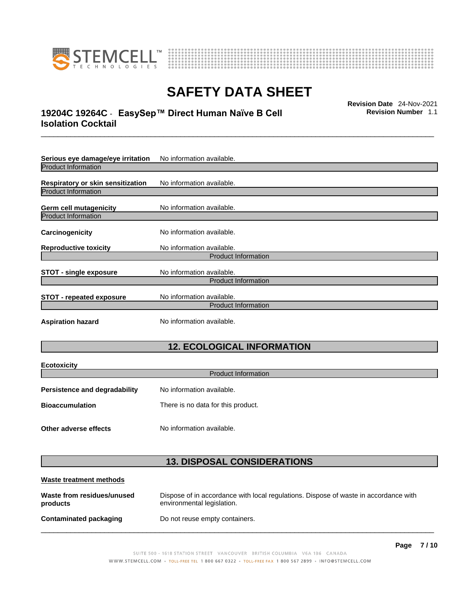



### \_\_\_\_\_\_\_\_\_\_\_\_\_\_\_\_\_\_\_\_\_\_\_\_\_\_\_\_\_\_\_\_\_\_\_\_\_\_\_\_\_\_\_\_\_\_\_\_\_\_\_\_\_\_\_\_\_\_\_\_\_\_\_\_\_\_\_\_\_\_\_\_\_\_\_\_\_\_\_\_\_\_\_\_\_\_\_\_\_\_\_\_\_ **Revision Date** 24-Nov-2021 **19204C 19264C** - **EasySep™ Direct Human Naïve B Cell Isolation Cocktail**

**Revision Number** 1.1

| Serious eye damage/eye irritation                                                          | No information available.  |  |
|--------------------------------------------------------------------------------------------|----------------------------|--|
| <b>Product Information</b>                                                                 |                            |  |
| Respiratory or skin sensitization                                                          | No information available.  |  |
| <b>Product Information</b>                                                                 |                            |  |
| Germ cell mutagenicity                                                                     | No information available.  |  |
| <b>Product Information</b>                                                                 |                            |  |
| Carcinogenicity                                                                            | No information available.  |  |
| <b>Reproductive toxicity</b>                                                               | No information available.  |  |
|                                                                                            | <b>Product Information</b> |  |
| No information available.<br><b>STOT - single exposure</b>                                 |                            |  |
|                                                                                            | <b>Product Information</b> |  |
| No information available.<br><b>STOT - repeated exposure</b><br><b>Product Information</b> |                            |  |
| <b>Aspiration hazard</b>                                                                   | No information available.  |  |

## **12. ECOLOGICAL INFORMATION**

| <b>Ecotoxicity</b><br><b>Product Information</b> |                                    |  |
|--------------------------------------------------|------------------------------------|--|
| <b>Persistence and degradability</b>             | No information available.          |  |
| <b>Bioaccumulation</b>                           | There is no data for this product. |  |
| Other adverse effects                            | No information available.          |  |

### **13. DISPOSAL CONSIDERATIONS**

| Waste treatment methods                |                                                                                                                    |  |
|----------------------------------------|--------------------------------------------------------------------------------------------------------------------|--|
| Waste from residues/unused<br>products | Dispose of in accordance with local regulations. Dispose of waste in accordance with<br>environmental legislation. |  |
| Contaminated packaging                 | Do not reuse empty containers.                                                                                     |  |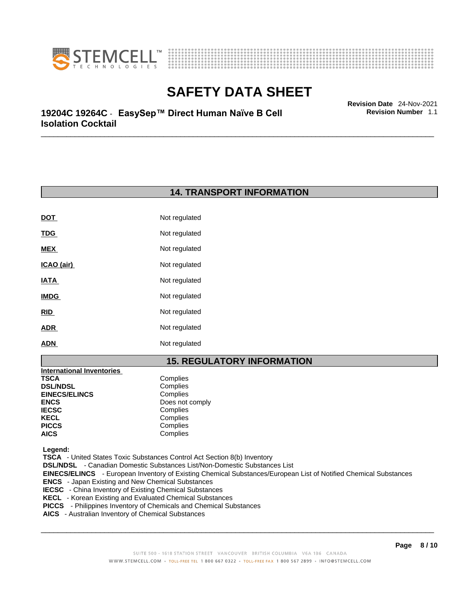



\_\_\_\_\_\_\_\_\_\_\_\_\_\_\_\_\_\_\_\_\_\_\_\_\_\_\_\_\_\_\_\_\_\_\_\_\_\_\_\_\_\_\_\_\_\_\_\_\_\_\_\_\_\_\_\_\_\_\_\_\_\_\_\_\_\_\_\_\_\_\_\_\_\_\_\_\_\_\_\_\_\_\_\_\_\_\_\_\_\_\_\_\_ **Revision Date** 24-Nov-2021 **19204C 19264C** - **EasySep™ Direct Human Naïve B Cell Isolation Cocktail** 

### **14. TRANSPORT INFORMATION**

| <b>DOT</b>  | Not regulated |
|-------------|---------------|
| <u>TDG</u>  | Not regulated |
| MEX         | Not regulated |
| ICAO (air)  | Not regulated |
| IATA        | Not regulated |
| <b>IMDG</b> | Not regulated |
| RID         | Not regulated |
| <b>ADR</b>  | Not regulated |
| <b>ADN</b>  | Not regulated |

### **15. REGULATORY INFORMATION**

| <b>International Inventories</b> |                 |
|----------------------------------|-----------------|
| TSCA                             | Complies        |
| <b>DSL/NDSL</b>                  | Complies        |
| <b>EINECS/ELINCS</b>             | Complies        |
| ENCS                             | Does not comply |
| <b>IECSC</b>                     | Complies        |
| KECL                             | Complies        |
| PICCS                            | Complies        |
| AICS                             | Complies        |
|                                  |                 |

 **Legend:** 

 **TSCA** - United States Toxic Substances Control Act Section 8(b) Inventory

 **DSL/NDSL** - Canadian Domestic Substances List/Non-Domestic Substances List

 **EINECS/ELINCS** - European Inventory of Existing Chemical Substances/European List of Notified Chemical Substances

- **ENCS**  Japan Existing and New Chemical Substances
- **IECSC**  China Inventory of Existing Chemical Substances
- **KECL**  Korean Existing and Evaluated Chemical Substances
- **PICCS**  Philippines Inventory of Chemicals and Chemical Substances
- **AICS**  Australian Inventory of Chemical Substances

 $\_$  ,  $\_$  ,  $\_$  ,  $\_$  ,  $\_$  ,  $\_$  ,  $\_$  ,  $\_$  ,  $\_$  ,  $\_$  ,  $\_$  ,  $\_$  ,  $\_$  ,  $\_$  ,  $\_$  ,  $\_$  ,  $\_$  ,  $\_$  ,  $\_$  ,  $\_$  ,  $\_$  ,  $\_$  ,  $\_$  ,  $\_$  ,  $\_$  ,  $\_$  ,  $\_$  ,  $\_$  ,  $\_$  ,  $\_$  ,  $\_$  ,  $\_$  ,  $\_$  ,  $\_$  ,  $\_$  ,  $\_$  ,  $\_$  ,

**Revision Number** 1.1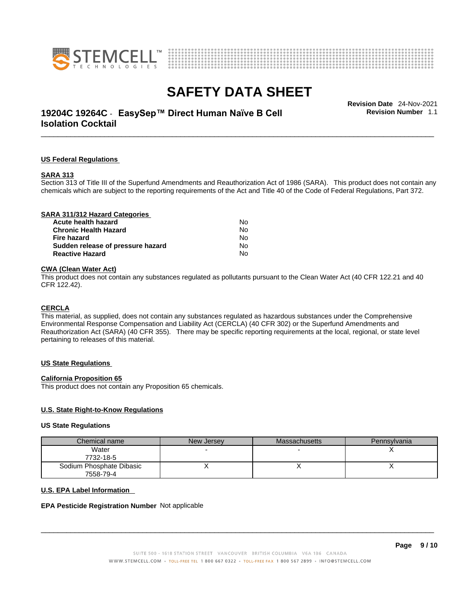



### \_\_\_\_\_\_\_\_\_\_\_\_\_\_\_\_\_\_\_\_\_\_\_\_\_\_\_\_\_\_\_\_\_\_\_\_\_\_\_\_\_\_\_\_\_\_\_\_\_\_\_\_\_\_\_\_\_\_\_\_\_\_\_\_\_\_\_\_\_\_\_\_\_\_\_\_\_\_\_\_\_\_\_\_\_\_\_\_\_\_\_\_\_ **Revision Date** 24-Nov-2021 **19204C 19264C** - **EasySep™ Direct Human Naïve B Cell Isolation Cocktail**

**Revision Number** 1.1

#### **US Federal Regulations**

#### **SARA 313**

Section 313 of Title III of the Superfund Amendments and Reauthorization Act of 1986 (SARA). This product does not contain any chemicals which are subject to the reporting requirements of the Act and Title 40 of the Code of Federal Regulations, Part 372.

| SARA 311/312 Hazard Categories    |    |  |
|-----------------------------------|----|--|
| Acute health hazard               | N٥ |  |
| <b>Chronic Health Hazard</b>      | No |  |
| Fire hazard                       | No |  |
| Sudden release of pressure hazard | No |  |
| <b>Reactive Hazard</b>            | No |  |
|                                   |    |  |

#### **CWA** (Clean Water Act)

This product does not contain any substances regulated as pollutants pursuant to the Clean Water Act (40 CFR 122.21 and 40 CFR 122.42).

#### **CERCLA**

This material, as supplied, does not contain any substances regulated as hazardous substances under the Comprehensive Environmental Response Compensation and Liability Act (CERCLA) (40 CFR 302) or the Superfund Amendments and Reauthorization Act (SARA) (40 CFR 355). There may be specific reporting requirements at the local, regional, or state level pertaining to releases of this material.

#### **US State Regulations**

#### **California Proposition 65**

This product does not contain any Proposition 65 chemicals.

#### **U.S. State Right-to-Know Regulations**

#### **US State Regulations**

| Chemical name            | New Jersey | <b>Massachusetts</b> | Pennsylvania |
|--------------------------|------------|----------------------|--------------|
| Water                    |            |                      |              |
| 7732-18-5                |            |                      |              |
| Sodium Phosphate Dibasic |            |                      |              |
| 7558-79-4                |            |                      |              |

#### **U.S. EPA Label Information**

#### **EPA Pesticide Registration Number** Not applicable